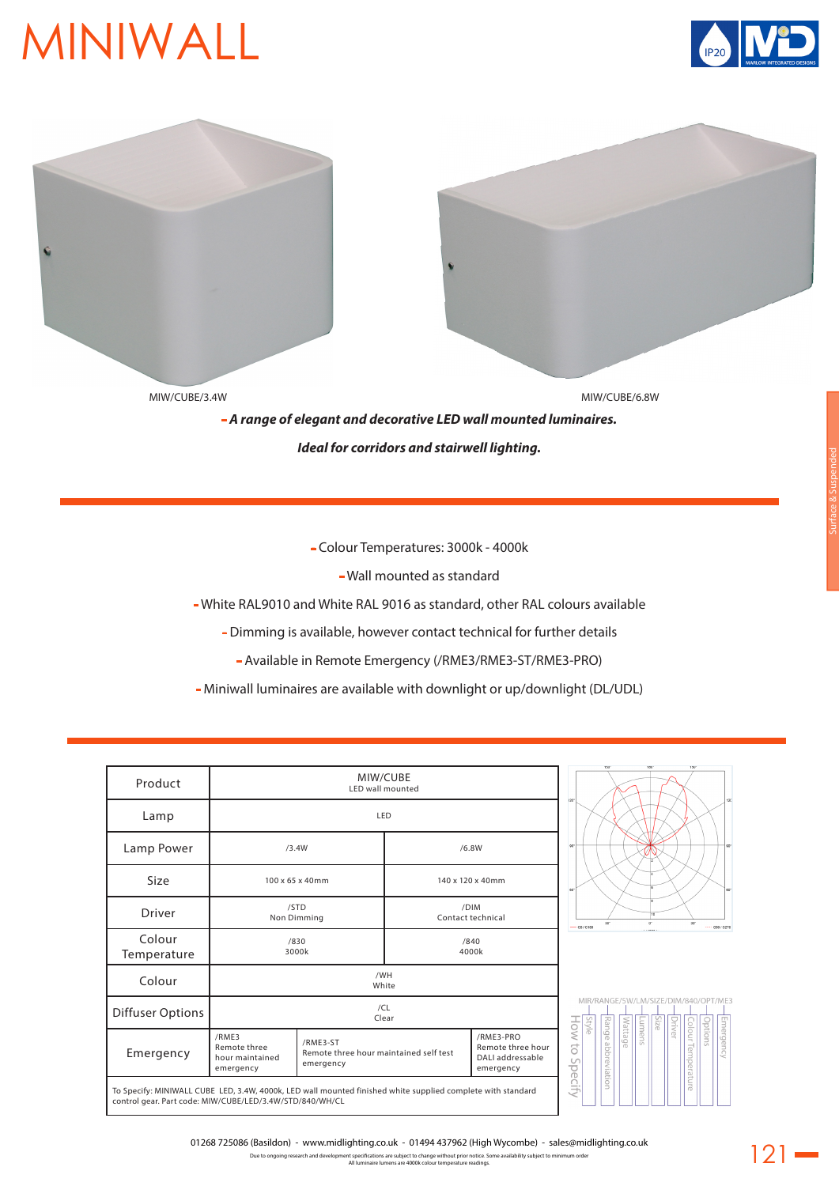## MINIWALL





- Colour Temperatures: 3000k - 4000k

- Wall mounted as standard

- White RAL9010 and White RAL 9016 as standard, other RAL colours available

- Dimming is available, however contact technical for further details

- Available in Remote Emergency (/RME3/RME3-ST/RME3-PRO)

- Miniwall luminaires are available with downlight or up/downlight (DL/UDL)

| Product                 | MIW/CUBE<br>LED wall mounted                          |                                                                 |                           |                                                                 |                                      |                       |             |        |  |              |                    |         |           |
|-------------------------|-------------------------------------------------------|-----------------------------------------------------------------|---------------------------|-----------------------------------------------------------------|--------------------------------------|-----------------------|-------------|--------|--|--------------|--------------------|---------|-----------|
| Lamp                    | LED                                                   |                                                                 |                           |                                                                 |                                      |                       |             |        |  |              |                    |         |           |
| Lamp Power              | /3.4W                                                 |                                                                 | /6.8W                     | 90                                                              |                                      |                       |             |        |  |              |                    |         |           |
| Size                    | 100 x 65 x 40mm                                       |                                                                 | 140 x 120 x 40mm          | 60°                                                             |                                      |                       |             |        |  |              |                    |         |           |
| <b>Driver</b>           | /STD<br>Non Dimming                                   |                                                                 | /DIM<br>Contact technical | $-$ CD / C180                                                   |                                      |                       | $0^{\circ}$ |        |  | $30^{\circ}$ | ---- C90 / C270    |         |           |
| Colour<br>Temperature   | /830<br>3000k                                         |                                                                 |                           | /840<br>4000k                                                   |                                      |                       |             |        |  |              |                    |         |           |
| Colour                  | /WH<br>White                                          |                                                                 |                           |                                                                 |                                      |                       |             |        |  |              |                    |         |           |
| <b>Diffuser Options</b> | /CL<br>Clear                                          |                                                                 |                           | <b>Style</b>                                                    | MIR/RANGE/5W/LM/SIZE/DIM/840/OPT/ME3 |                       |             | Size   |  |              |                    |         |           |
| Emergency               | /RME3<br>Remote three<br>hour maintained<br>emergency | /RME3-ST<br>Remote three hour maintained self test<br>emergency |                           | /RME3-PRO<br>Remote three hour<br>DALI addressable<br>emergency | How<br>đ<br>$\cup$<br>pecify         | Range<br>abbreviation | Wattage     | Lumens |  | Driver       | Colour Temperature | Options | Emergency |

 $121 -$ 

01268 725086 (Basildon) - www.midlighting.co.uk - 01494 437962 (High Wycombe) - sales@midlighting.co.uk

Due to ongoing research and development specifications are subject to change without prior notice. Some availability subject to minimum order All luminaire lumens are 4000k colour temperature readings.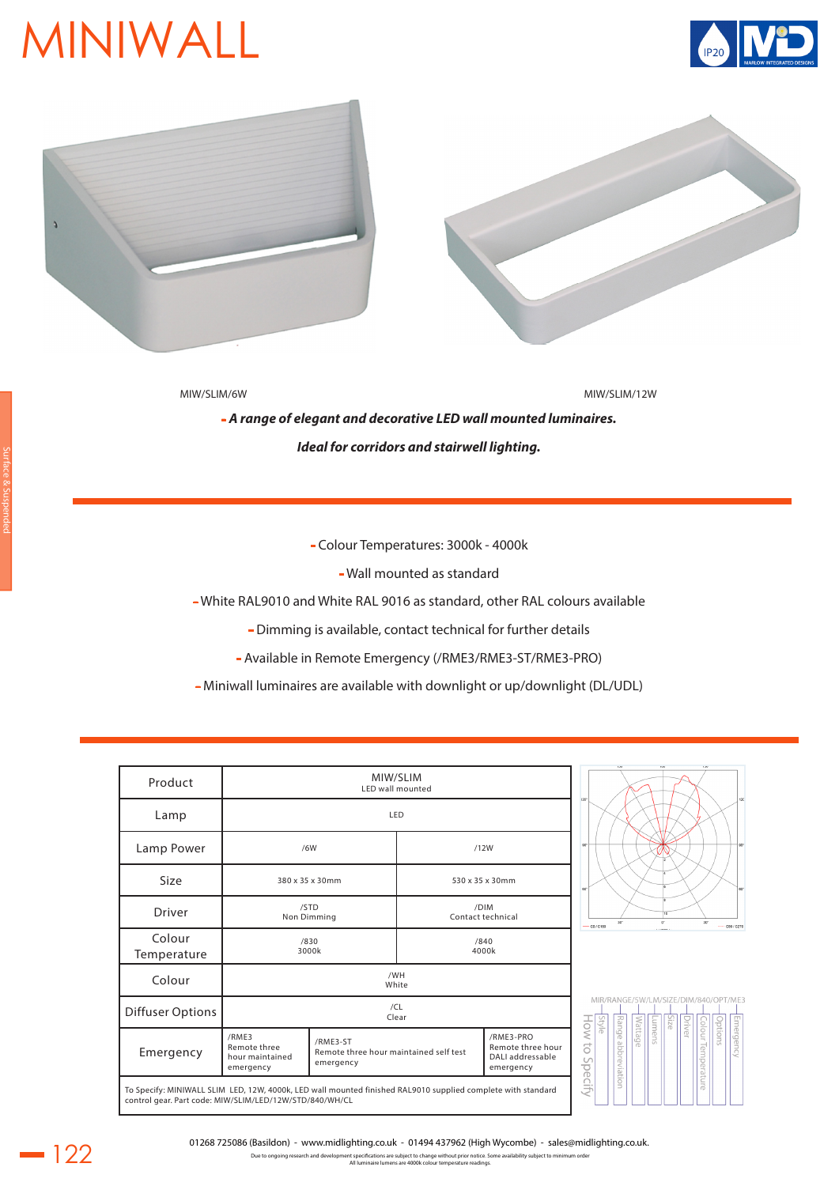## MINIWALL





MIW/SLIM/6W MIW/SLIM/12W

- *A range of elegant and decorative LED wall mounted luminaires. Ideal for corridors and stairwell lighting.*

- Colour Temperatures: 3000k - 4000k

- Wall mounted as standard

- White RAL9010 and White RAL 9016 as standard, other RAL colours available

- Dimming is available, contact technical for further details

- Available in Remote Emergency (/RME3/RME3-ST/RME3-PRO)

- Miniwall luminaires are available with downlight or up/downlight (DL/UDL)

| Product                                                                                                                                                                 | MIW/SLIM<br>LED wall mounted                          |                                                                 |                           |                                                                 |                                        |                       |         |                   |        |              |                    |                 | 120       |
|-------------------------------------------------------------------------------------------------------------------------------------------------------------------------|-------------------------------------------------------|-----------------------------------------------------------------|---------------------------|-----------------------------------------------------------------|----------------------------------------|-----------------------|---------|-------------------|--------|--------------|--------------------|-----------------|-----------|
| Lamp                                                                                                                                                                    |                                                       | LED                                                             |                           |                                                                 | $120^{\circ}$                          |                       |         |                   |        |              |                    |                 |           |
| Lamp Power                                                                                                                                                              |                                                       | /6W                                                             | /12W                      | so <sup>1</sup>                                                 |                                        |                       |         |                   |        |              |                    | so <sup>+</sup> |           |
| Size                                                                                                                                                                    | 380 x 35 x 30mm                                       |                                                                 |                           | 530 x 35 x 30mm                                                 |                                        |                       |         |                   |        |              |                    |                 | 60°       |
| <b>Driver</b>                                                                                                                                                           | /STD<br>Non Dimming<br>/830                           |                                                                 | /DIM<br>Contact technical | $- 00/0180$                                                     | 30"                                    |                       |         | 10<br>$0^{\circ}$ |        | $30^{\circ}$ |                    | 690 / 6270      |           |
| Colour<br>Temperature                                                                                                                                                   |                                                       | 3000k                                                           |                           | /840<br>4000k                                                   |                                        |                       |         | <b>ALAMA</b>      |        |              |                    |                 |           |
| Colour                                                                                                                                                                  | /WH<br>White                                          |                                                                 |                           |                                                                 |                                        |                       |         |                   |        |              |                    |                 |           |
| <b>Diffuser Options</b>                                                                                                                                                 | /CL<br>Clear                                          |                                                                 |                           | <b>Style</b>                                                    | MIR/RANGE/5W/LM/SIZE/DIM/840/OPT/ME3   |                       |         | Size              | Driver |              |                    |                 |           |
| Emergency                                                                                                                                                               | /RME3<br>Remote three<br>hour maintained<br>emergency | /RME3-ST<br>Remote three hour maintained self test<br>emergency |                           | /RME3-PRO<br>Remote three hour<br>DALI addressable<br>emergency | $\sim 100$<br>$\overline{C}$<br>$\cup$ | Range<br>abbreviation | Wattage | Lumens            |        |              | Colour Temperature | pptions         | Emergency |
| To Specify: MINIWALL SLIM LED, 12W, 4000k, LED wall mounted finished RAL9010 supplied complete with standard<br>control gear. Part code: MIW/SLIM/LED/12W/STD/840/WH/CL |                                                       |                                                                 |                           |                                                                 | pecify                                 |                       |         |                   |        |              |                    |                 |           |



Due to ongoing research and development specifications are subject to change without prior notice. Some availability subject to minimum order All luminaire lumens are 4000k colour temperature readings.